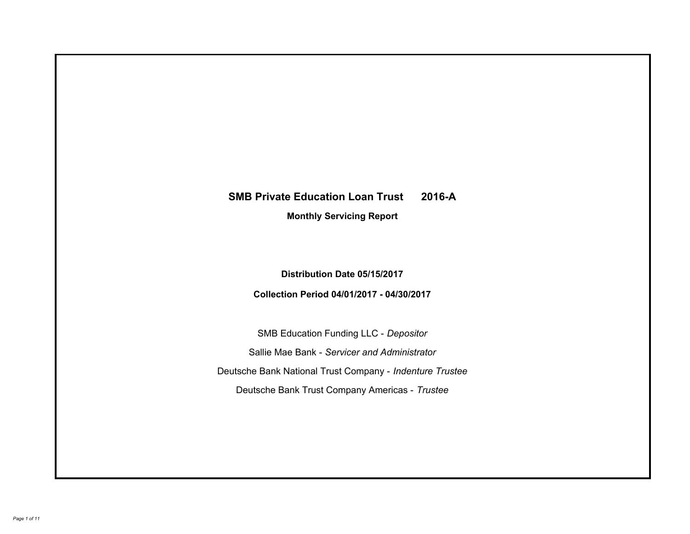# **SMB Private Education Loan Trust 2016-A Monthly Servicing Report**

**Distribution Date 05/15/2017**

**Collection Period 04/01/2017 - 04/30/2017**

SMB Education Funding LLC - *Depositor* Sallie Mae Bank - *Servicer and Administrator* Deutsche Bank National Trust Company - *Indenture Trustee* Deutsche Bank Trust Company Americas - *Trustee*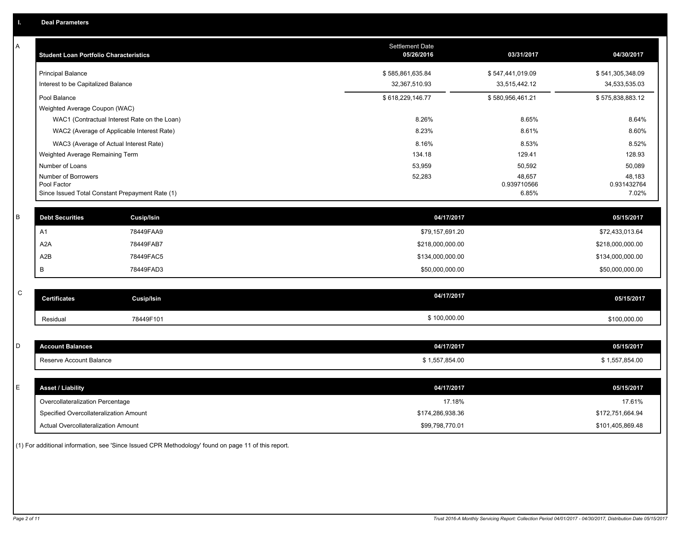| A            | <b>Student Loan Portfolio Characteristics</b>   |                                              | Settlement Date<br>05/26/2016 | 03/31/2017            | 04/30/2017            |
|--------------|-------------------------------------------------|----------------------------------------------|-------------------------------|-----------------------|-----------------------|
|              | <b>Principal Balance</b>                        |                                              | \$585,861,635.84              | \$547,441,019.09      | \$541,305,348.09      |
|              | Interest to be Capitalized Balance              |                                              | 32,367,510.93                 | 33,515,442.12         | 34,533,535.03         |
|              | Pool Balance                                    |                                              | \$618,229,146.77              | \$580,956,461.21      | \$575,838,883.12      |
|              | Weighted Average Coupon (WAC)                   |                                              |                               |                       |                       |
|              |                                                 | WAC1 (Contractual Interest Rate on the Loan) | 8.26%                         | 8.65%                 | 8.64%                 |
|              |                                                 | WAC2 (Average of Applicable Interest Rate)   | 8.23%                         | 8.61%                 | 8.60%                 |
|              | WAC3 (Average of Actual Interest Rate)          |                                              | 8.16%                         | 8.53%                 | 8.52%                 |
|              | Weighted Average Remaining Term                 |                                              | 134.18                        | 129.41                | 128.93                |
|              | Number of Loans                                 |                                              | 53,959                        | 50,592                | 50,089                |
|              | Number of Borrowers<br>Pool Factor              |                                              | 52,283                        | 48,657<br>0.939710566 | 48,183<br>0.931432764 |
|              | Since Issued Total Constant Prepayment Rate (1) |                                              |                               | 6.85%                 | 7.02%                 |
|              |                                                 |                                              |                               |                       |                       |
| $\sf B$      | <b>Debt Securities</b>                          | <b>Cusip/Isin</b>                            | 04/17/2017                    |                       | 05/15/2017            |
|              | A1                                              | 78449FAA9                                    | \$79,157,691.20               |                       | \$72,433,013.64       |
|              | A <sub>2</sub> A                                | 78449FAB7                                    | \$218,000,000.00              |                       | \$218,000,000.00      |
|              | A2B                                             | 78449FAC5                                    | \$134,000,000.00              |                       | \$134,000,000.00      |
|              | В                                               | 78449FAD3                                    | \$50,000,000.00               |                       | \$50,000,000.00       |
|              |                                                 |                                              |                               |                       |                       |
| $\mathsf{C}$ | <b>Certificates</b>                             | <b>Cusip/Isin</b>                            | 04/17/2017                    |                       | 05/15/2017            |
|              | Residual                                        | 78449F101                                    | \$100,000.00                  |                       | \$100,000.00          |
|              |                                                 |                                              |                               |                       |                       |
| D            | <b>Account Balances</b>                         |                                              | 04/17/2017                    |                       | 05/15/2017            |
|              | Reserve Account Balance                         |                                              | \$1,557,854.00                |                       | \$1,557,854.00        |
|              |                                                 |                                              |                               |                       |                       |
| E            | <b>Asset / Liability</b>                        |                                              | 04/17/2017                    |                       | 05/15/2017            |
|              | Overcollateralization Percentage                |                                              | 17.18%                        |                       | 17.61%                |
|              | Specified Overcollateralization Amount          |                                              | \$174,286,938.36              |                       | \$172,751,664.94      |
|              | Actual Overcollateralization Amount             |                                              | \$99,798,770.01               |                       | \$101,405,869.48      |

(1) For additional information, see 'Since Issued CPR Methodology' found on page 11 of this report.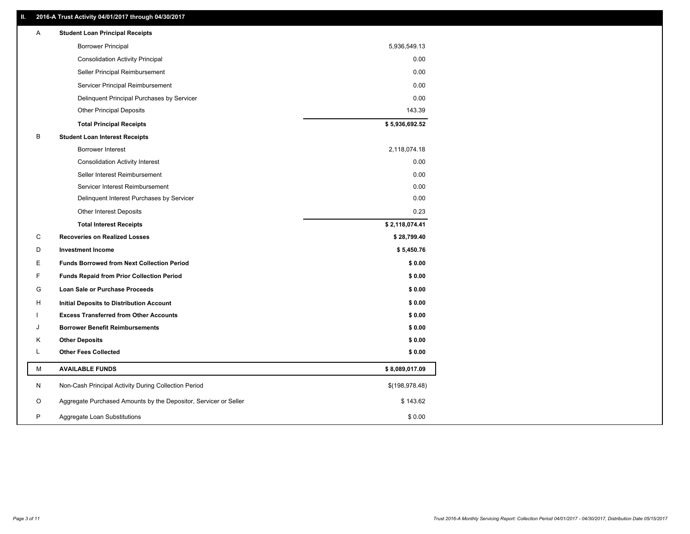### **II. 2016-A Trust Activity 04/01/2017 through 04/30/2017**

| Α  | <b>Student Loan Principal Receipts</b>                           |                |
|----|------------------------------------------------------------------|----------------|
|    | <b>Borrower Principal</b>                                        | 5,936,549.13   |
|    | <b>Consolidation Activity Principal</b>                          | 0.00           |
|    | Seller Principal Reimbursement                                   | 0.00           |
|    | Servicer Principal Reimbursement                                 | 0.00           |
|    | Delinquent Principal Purchases by Servicer                       | 0.00           |
|    | <b>Other Principal Deposits</b>                                  | 143.39         |
|    | <b>Total Principal Receipts</b>                                  | \$5,936,692.52 |
| B  | <b>Student Loan Interest Receipts</b>                            |                |
|    | <b>Borrower Interest</b>                                         | 2,118,074.18   |
|    | <b>Consolidation Activity Interest</b>                           | 0.00           |
|    | Seller Interest Reimbursement                                    | 0.00           |
|    | Servicer Interest Reimbursement                                  | 0.00           |
|    | Delinquent Interest Purchases by Servicer                        | 0.00           |
|    | <b>Other Interest Deposits</b>                                   | 0.23           |
|    | <b>Total Interest Receipts</b>                                   | \$2,118,074.41 |
| C  | <b>Recoveries on Realized Losses</b>                             | \$28,799.40    |
| D  | <b>Investment Income</b>                                         | \$5,450.76     |
| E. | <b>Funds Borrowed from Next Collection Period</b>                | \$0.00         |
| F  | <b>Funds Repaid from Prior Collection Period</b>                 | \$0.00         |
| G  | <b>Loan Sale or Purchase Proceeds</b>                            | \$0.00         |
| H  | Initial Deposits to Distribution Account                         | \$0.00         |
|    | <b>Excess Transferred from Other Accounts</b>                    | \$0.00         |
| J  | <b>Borrower Benefit Reimbursements</b>                           | \$0.00         |
| Κ  | <b>Other Deposits</b>                                            | \$0.00         |
| Г  | <b>Other Fees Collected</b>                                      | \$0.00         |
| M  | <b>AVAILABLE FUNDS</b>                                           | \$8,089,017.09 |
| N  | Non-Cash Principal Activity During Collection Period             | \$(198,978.48) |
| O  | Aggregate Purchased Amounts by the Depositor, Servicer or Seller | \$143.62       |
| P  | Aggregate Loan Substitutions                                     | \$0.00         |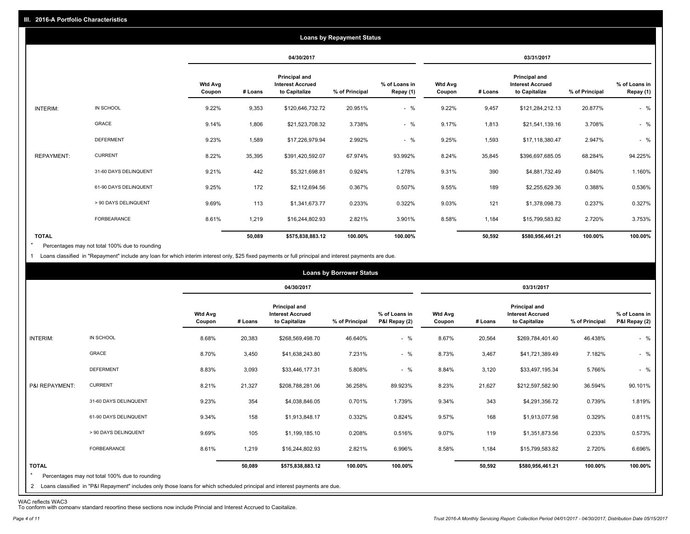|                   |                       |                          |         |                                                           | <b>Loans by Repayment Status</b> |                            |                          |         |                                                                  |                |                            |
|-------------------|-----------------------|--------------------------|---------|-----------------------------------------------------------|----------------------------------|----------------------------|--------------------------|---------|------------------------------------------------------------------|----------------|----------------------------|
|                   |                       |                          |         | 04/30/2017                                                |                                  |                            |                          |         | 03/31/2017                                                       |                |                            |
|                   |                       | <b>Wtd Avg</b><br>Coupon | # Loans | Principal and<br><b>Interest Accrued</b><br>to Capitalize | % of Principal                   | % of Loans in<br>Repay (1) | <b>Wtd Avg</b><br>Coupon | # Loans | <b>Principal and</b><br><b>Interest Accrued</b><br>to Capitalize | % of Principal | % of Loans in<br>Repay (1) |
| INTERIM:          | IN SCHOOL             | 9.22%                    | 9,353   | \$120,646,732.72                                          | 20.951%                          | $-$ %                      | 9.22%                    | 9,457   | \$121,284,212.13                                                 | 20.877%        | $-$ %                      |
|                   | GRACE                 | 9.14%                    | 1,806   | \$21,523,708.32                                           | 3.738%                           | $-$ %                      | 9.17%                    | 1,813   | \$21,541,139.16                                                  | 3.708%         | $-$ %                      |
|                   | <b>DEFERMENT</b>      | 9.23%                    | 1,589   | \$17,226,979.94                                           | 2.992%                           | $-$ %                      | 9.25%                    | 1,593   | \$17,118,380.47                                                  | 2.947%         | $-$ %                      |
| <b>REPAYMENT:</b> | <b>CURRENT</b>        | 8.22%                    | 35,395  | \$391,420,592.07                                          | 67.974%                          | 93.992%                    | 8.24%                    | 35,845  | \$396,697,685.05                                                 | 68.284%        | 94.225%                    |
|                   | 31-60 DAYS DELINQUENT | 9.21%                    | 442     | \$5,321,698.81                                            | 0.924%                           | 1.278%                     | 9.31%                    | 390     | \$4,881,732.49                                                   | 0.840%         | 1.160%                     |
|                   | 61-90 DAYS DELINQUENT | 9.25%                    | 172     | \$2,112,694.56                                            | 0.367%                           | 0.507%                     | 9.55%                    | 189     | \$2,255,629.36                                                   | 0.388%         | 0.536%                     |
|                   | > 90 DAYS DELINQUENT  | 9.69%                    | 113     | \$1,341,673.77                                            | 0.233%                           | 0.322%                     | 9.03%                    | 121     | \$1,378,098.73                                                   | 0.237%         | 0.327%                     |
|                   | <b>FORBEARANCE</b>    | 8.61%                    | 1,219   | \$16,244,802.93                                           | 2.821%                           | 3.901%                     | 8.58%                    | 1,184   | \$15,799,583.82                                                  | 2.720%         | 3.753%                     |
| <b>TOTAL</b>      |                       |                          | 50,089  | \$575,838,883.12                                          | 100.00%                          | 100.00%                    |                          | 50,592  | \$580,956,461.21                                                 | 100.00%        | 100.00%                    |

Percentages may not total 100% due to rounding \*

1 Loans classified in "Repayment" include any loan for which interim interest only, \$25 fixed payments or full principal and interest payments are due.

|                         |                                                                                                                              |                          |         |                                                           | <b>Loans by Borrower Status</b> |                                |                          |         |                                                                  |                |                                |
|-------------------------|------------------------------------------------------------------------------------------------------------------------------|--------------------------|---------|-----------------------------------------------------------|---------------------------------|--------------------------------|--------------------------|---------|------------------------------------------------------------------|----------------|--------------------------------|
|                         |                                                                                                                              |                          |         | 04/30/2017                                                |                                 |                                |                          |         | 03/31/2017                                                       |                |                                |
|                         |                                                                                                                              | <b>Wtd Avg</b><br>Coupon | # Loans | Principal and<br><b>Interest Accrued</b><br>to Capitalize | % of Principal                  | % of Loans in<br>P&I Repay (2) | <b>Wtd Avg</b><br>Coupon | # Loans | <b>Principal and</b><br><b>Interest Accrued</b><br>to Capitalize | % of Principal | % of Loans in<br>P&I Repay (2) |
| INTERIM:                | IN SCHOOL                                                                                                                    | 8.68%                    | 20,383  | \$268,569,498.70                                          | 46.640%                         | $-$ %                          | 8.67%                    | 20,564  | \$269,784,401.40                                                 | 46.438%        | $-$ %                          |
|                         | <b>GRACE</b>                                                                                                                 | 8.70%                    | 3,450   | \$41,638,243.80                                           | 7.231%                          | $-$ %                          | 8.73%                    | 3,467   | \$41,721,389.49                                                  | 7.182%         | $-$ %                          |
|                         | <b>DEFERMENT</b>                                                                                                             | 8.83%                    | 3,093   | \$33,446,177.31                                           | 5.808%                          | $-$ %                          | 8.84%                    | 3,120   | \$33,497,195.34                                                  | 5.766%         | $-$ %                          |
| P&I REPAYMENT:          | <b>CURRENT</b>                                                                                                               | 8.21%                    | 21,327  | \$208,788,281.06                                          | 36.258%                         | 89.923%                        | 8.23%                    | 21,627  | \$212,597,582.90                                                 | 36.594%        | 90.101%                        |
|                         | 31-60 DAYS DELINQUENT                                                                                                        | 9.23%                    | 354     | \$4,038,846.05                                            | 0.701%                          | 1.739%                         | 9.34%                    | 343     | \$4,291,356.72                                                   | 0.739%         | 1.819%                         |
|                         | 61-90 DAYS DELINQUENT                                                                                                        | 9.34%                    | 158     | \$1,913,848.17                                            | 0.332%                          | 0.824%                         | 9.57%                    | 168     | \$1,913,077.98                                                   | 0.329%         | 0.811%                         |
|                         | > 90 DAYS DELINQUENT                                                                                                         | 9.69%                    | 105     | \$1,199,185.10                                            | 0.208%                          | 0.516%                         | 9.07%                    | 119     | \$1,351,873.56                                                   | 0.233%         | 0.573%                         |
|                         | FORBEARANCE                                                                                                                  | 8.61%                    | 1,219   | \$16,244,802.93                                           | 2.821%                          | 6.996%                         | 8.58%                    | 1,184   | \$15,799,583.82                                                  | 2.720%         | 6.696%                         |
| <b>TOTAL</b><br>$\star$ | Percentages may not total 100% due to rounding                                                                               |                          | 50,089  | \$575,838,883.12                                          | 100.00%                         | 100.00%                        |                          | 50,592  | \$580,956,461.21                                                 | 100.00%        | 100.00%                        |
|                         | 2 Loans classified in "P&I Repayment" includes only those loans for which scheduled principal and interest payments are due. |                          |         |                                                           |                                 |                                |                          |         |                                                                  |                |                                |

WAC reflects WAC3 To conform with company standard reporting these sections now include Princial and Interest Accrued to Capitalize.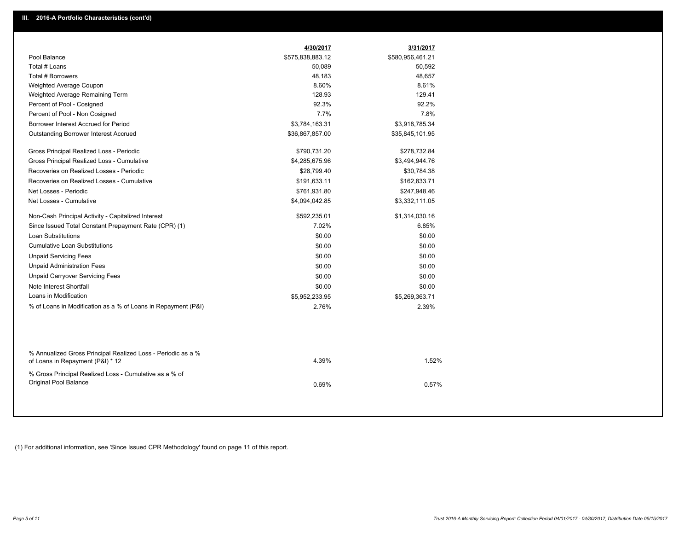| Pool Balance<br>\$575,838,883.12<br>\$580,956,461.21<br>Total # Loans<br>50,089<br>50,592<br>Total # Borrowers<br>48,183<br>48,657<br>Weighted Average Coupon<br>8.60%<br>8.61%<br>Weighted Average Remaining Term<br>128.93<br>129.41<br>92.3%<br>92.2%<br>Percent of Pool - Cosigned<br>7.7%<br>7.8%<br>Percent of Pool - Non Cosigned<br>Borrower Interest Accrued for Period<br>\$3,784,163.31<br>\$3,918,785.34 |  |
|----------------------------------------------------------------------------------------------------------------------------------------------------------------------------------------------------------------------------------------------------------------------------------------------------------------------------------------------------------------------------------------------------------------------|--|
|                                                                                                                                                                                                                                                                                                                                                                                                                      |  |
|                                                                                                                                                                                                                                                                                                                                                                                                                      |  |
|                                                                                                                                                                                                                                                                                                                                                                                                                      |  |
|                                                                                                                                                                                                                                                                                                                                                                                                                      |  |
|                                                                                                                                                                                                                                                                                                                                                                                                                      |  |
|                                                                                                                                                                                                                                                                                                                                                                                                                      |  |
|                                                                                                                                                                                                                                                                                                                                                                                                                      |  |
|                                                                                                                                                                                                                                                                                                                                                                                                                      |  |
| <b>Outstanding Borrower Interest Accrued</b><br>\$36,867,857.00<br>\$35,845,101.95                                                                                                                                                                                                                                                                                                                                   |  |
| Gross Principal Realized Loss - Periodic<br>\$790,731.20<br>\$278,732.84                                                                                                                                                                                                                                                                                                                                             |  |
| Gross Principal Realized Loss - Cumulative<br>\$4,285,675.96<br>\$3,494,944.76                                                                                                                                                                                                                                                                                                                                       |  |
| Recoveries on Realized Losses - Periodic<br>\$28,799.40<br>\$30,784.38                                                                                                                                                                                                                                                                                                                                               |  |
| Recoveries on Realized Losses - Cumulative<br>\$191,633.11<br>\$162,833.71                                                                                                                                                                                                                                                                                                                                           |  |
| Net Losses - Periodic<br>\$761,931.80<br>\$247,948.46                                                                                                                                                                                                                                                                                                                                                                |  |
| Net Losses - Cumulative<br>\$4,094,042.85<br>\$3,332,111.05                                                                                                                                                                                                                                                                                                                                                          |  |
| Non-Cash Principal Activity - Capitalized Interest<br>\$592,235.01<br>\$1,314,030.16                                                                                                                                                                                                                                                                                                                                 |  |
| 7.02%<br>Since Issued Total Constant Prepayment Rate (CPR) (1)<br>6.85%                                                                                                                                                                                                                                                                                                                                              |  |
| <b>Loan Substitutions</b><br>\$0.00<br>\$0.00                                                                                                                                                                                                                                                                                                                                                                        |  |
| <b>Cumulative Loan Substitutions</b><br>\$0.00<br>\$0.00                                                                                                                                                                                                                                                                                                                                                             |  |
| <b>Unpaid Servicing Fees</b><br>\$0.00<br>\$0.00                                                                                                                                                                                                                                                                                                                                                                     |  |
| <b>Unpaid Administration Fees</b><br>\$0.00<br>\$0.00                                                                                                                                                                                                                                                                                                                                                                |  |
| <b>Unpaid Carryover Servicing Fees</b><br>\$0.00<br>\$0.00                                                                                                                                                                                                                                                                                                                                                           |  |
| Note Interest Shortfall<br>\$0.00<br>\$0.00                                                                                                                                                                                                                                                                                                                                                                          |  |
| Loans in Modification<br>\$5,952,233.95<br>\$5,269,363.71                                                                                                                                                                                                                                                                                                                                                            |  |
| % of Loans in Modification as a % of Loans in Repayment (P&I)<br>2.76%<br>2.39%                                                                                                                                                                                                                                                                                                                                      |  |
|                                                                                                                                                                                                                                                                                                                                                                                                                      |  |
| % Annualized Gross Principal Realized Loss - Periodic as a %<br>4.39%<br>1.52%<br>of Loans in Repayment (P&I) * 12                                                                                                                                                                                                                                                                                                   |  |
| % Gross Principal Realized Loss - Cumulative as a % of<br>Original Pool Balance<br>0.69%<br>0.57%                                                                                                                                                                                                                                                                                                                    |  |

(1) For additional information, see 'Since Issued CPR Methodology' found on page 11 of this report.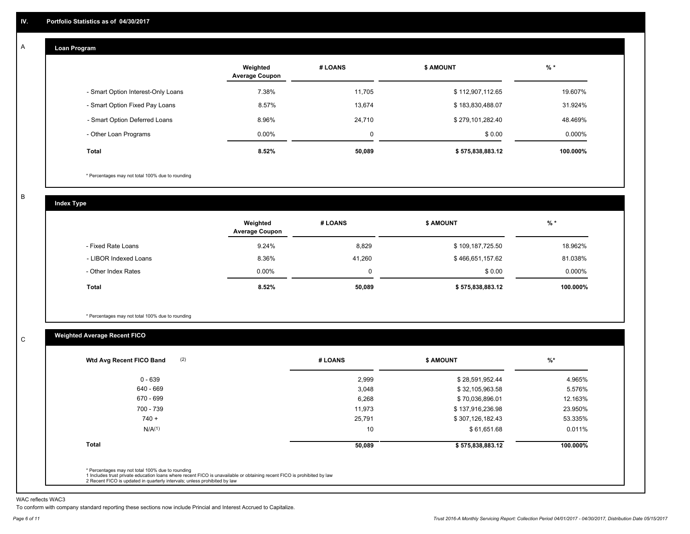#### **Loan Program**  A

|                                    | Weighted<br><b>Average Coupon</b> | # LOANS | <b>\$ AMOUNT</b> | $%$ *     |
|------------------------------------|-----------------------------------|---------|------------------|-----------|
| - Smart Option Interest-Only Loans | 7.38%                             | 11.705  | \$112,907,112.65 | 19.607%   |
| - Smart Option Fixed Pay Loans     | 8.57%                             | 13,674  | \$183,830,488.07 | 31.924%   |
| - Smart Option Deferred Loans      | 8.96%                             | 24,710  | \$279,101,282.40 | 48.469%   |
| - Other Loan Programs              | $0.00\%$                          | 0       | \$0.00           | $0.000\%$ |
| Total                              | 8.52%                             | 50,089  | \$575,838,883.12 | 100.000%  |

\* Percentages may not total 100% due to rounding

B

C

**Index Type**

|                       | Weighted<br><b>Average Coupon</b> | # LOANS | <b>\$ AMOUNT</b> | $%$ *     |
|-----------------------|-----------------------------------|---------|------------------|-----------|
| - Fixed Rate Loans    | 9.24%                             | 8,829   | \$109,187,725.50 | 18.962%   |
| - LIBOR Indexed Loans | 8.36%                             | 41,260  | \$466,651,157.62 | 81.038%   |
| - Other Index Rates   | $0.00\%$                          |         | \$0.00           | $0.000\%$ |
| <b>Total</b>          | 8.52%                             | 50,089  | \$575,838,883.12 | 100.000%  |

\* Percentages may not total 100% due to rounding

## **Weighted Average Recent FICO**

| 2,999<br>3,048<br>6,268<br>11.973 | \$28,591,952.44<br>\$32,105,963.58<br>\$70,036,896.01<br>\$137,916,236.98 | 4.965%<br>5.576%<br>12.163% |
|-----------------------------------|---------------------------------------------------------------------------|-----------------------------|
|                                   |                                                                           |                             |
|                                   |                                                                           |                             |
|                                   |                                                                           |                             |
|                                   |                                                                           | 23.950%                     |
| 25,791                            | \$307,126,182.43                                                          | 53.335%                     |
| 10                                | \$61,651.68                                                               | 0.011%                      |
| 50,089                            | \$575,838,883.12                                                          | 100.000%                    |
|                                   |                                                                           |                             |

WAC reflects WAC3

To conform with company standard reporting these sections now include Princial and Interest Accrued to Capitalize.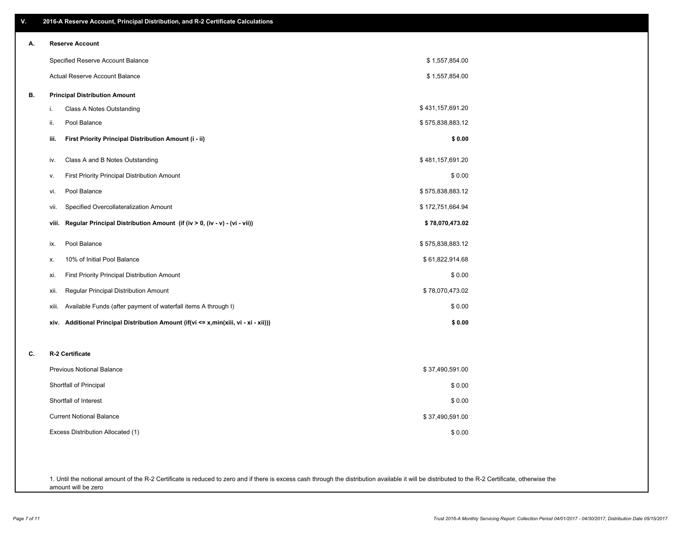| ۷. | 2016-A Reserve Account, Principal Distribution, and R-2 Certificate Calculations     |                  |
|----|--------------------------------------------------------------------------------------|------------------|
| А. | <b>Reserve Account</b>                                                               |                  |
|    | Specified Reserve Account Balance                                                    | \$1,557,854.00   |
|    | Actual Reserve Account Balance                                                       | \$1,557,854.00   |
| В. | <b>Principal Distribution Amount</b>                                                 |                  |
|    | i.<br>Class A Notes Outstanding                                                      | \$431,157,691.20 |
|    | Pool Balance<br>ii.                                                                  | \$575,838,883.12 |
|    | First Priority Principal Distribution Amount (i - ii)<br>iii.                        | \$0.00           |
|    | Class A and B Notes Outstanding<br>iv.                                               | \$481,157,691.20 |
|    | First Priority Principal Distribution Amount<br>۷.                                   | \$0.00           |
|    | Pool Balance<br>vi.                                                                  | \$575,838,883.12 |
|    | Specified Overcollateralization Amount<br>vii.                                       | \$172,751,664.94 |
|    | Regular Principal Distribution Amount (if (iv > 0, (iv - v) - (vi - vii))<br>viii.   | \$78,070,473.02  |
|    | Pool Balance<br>ix.                                                                  | \$575,838,883.12 |
|    | 10% of Initial Pool Balance<br>Х.                                                    | \$61,822,914.68  |
|    | First Priority Principal Distribution Amount<br>xi.                                  | \$0.00           |
|    | Regular Principal Distribution Amount<br>xii.                                        | \$78,070,473.02  |
|    | Available Funds (after payment of waterfall items A through I)<br>xiii.              | \$0.00           |
|    | xiv. Additional Principal Distribution Amount (if(vi <= x,min(xiii, vi - xi - xii))) | \$0.00           |
| C. | R-2 Certificate                                                                      |                  |
|    | <b>Previous Notional Balance</b>                                                     | \$37,490,591.00  |
|    | Shortfall of Principal                                                               | \$0.00           |
|    | Shortfall of Interest                                                                | \$0.00           |
|    | <b>Current Notional Balance</b>                                                      | \$37,490,591.00  |
|    | Excess Distribution Allocated (1)                                                    | \$0.00           |
|    |                                                                                      |                  |
|    |                                                                                      |                  |

1. Until the notional amount of the R-2 Certificate is reduced to zero and if there is excess cash through the distribution available it will be distributed to the R-2 Certificate, otherwise the amount will be zero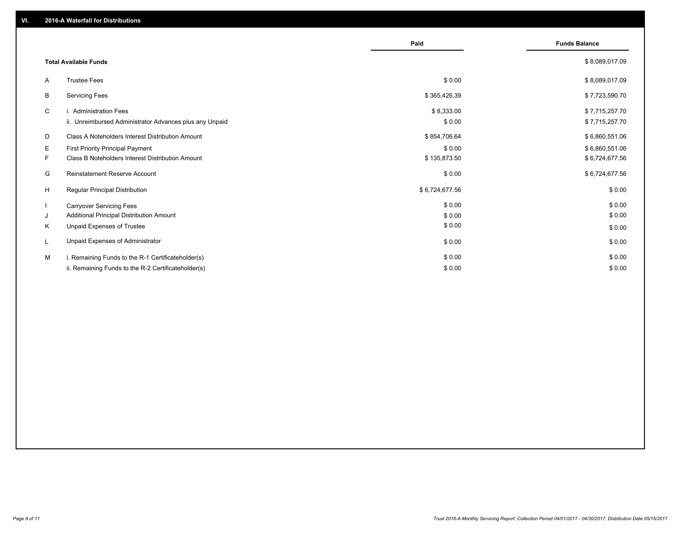|    |                                                         | Paid           | <b>Funds Balance</b> |
|----|---------------------------------------------------------|----------------|----------------------|
|    | <b>Total Available Funds</b>                            |                | \$8,089,017.09       |
| A  | <b>Trustee Fees</b>                                     | \$0.00         | \$8,089,017.09       |
| В  | Servicing Fees                                          | \$365,426.39   | \$7,723,590.70       |
| C  | i. Administration Fees                                  | \$8,333.00     | \$7,715,257.70       |
|    | ii. Unreimbursed Administrator Advances plus any Unpaid | \$0.00         | \$7,715,257.70       |
| D  | Class A Noteholders Interest Distribution Amount        | \$854,706.64   | \$6,860,551.06       |
| Е  | First Priority Principal Payment                        | \$0.00         | \$6,860,551.06       |
| F. | Class B Noteholders Interest Distribution Amount        | \$135,873.50   | \$6,724,677.56       |
| G  | Reinstatement Reserve Account                           | \$0.00         | \$6,724,677.56       |
| H  | <b>Regular Principal Distribution</b>                   | \$6,724,677.56 | \$0.00               |
|    | <b>Carryover Servicing Fees</b>                         | \$0.00         | \$0.00               |
| J  | Additional Principal Distribution Amount                | \$0.00         | \$0.00               |
| Κ  | Unpaid Expenses of Trustee                              | \$0.00         | \$0.00               |
| L  | Unpaid Expenses of Administrator                        | \$0.00         | \$0.00               |
| м  | i. Remaining Funds to the R-1 Certificateholder(s)      | \$0.00         | \$0.00               |
|    | ii. Remaining Funds to the R-2 Certificateholder(s)     | \$0.00         | \$0.00               |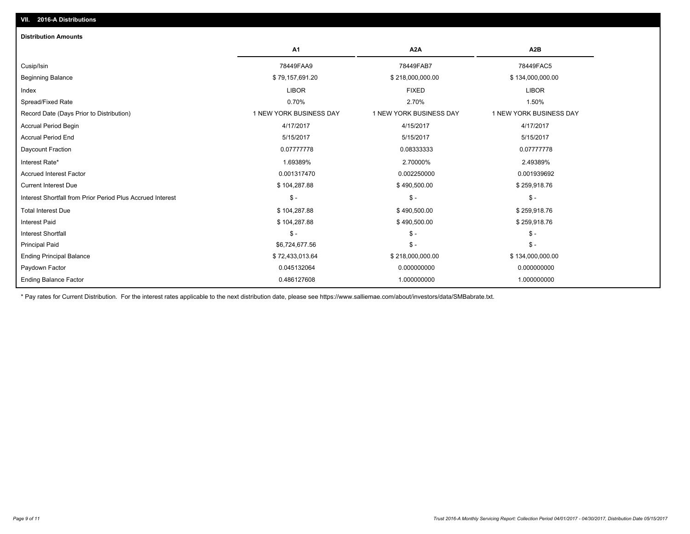| <b>Distribution Amounts</b>                                |                         |                         |                         |
|------------------------------------------------------------|-------------------------|-------------------------|-------------------------|
|                                                            | A1                      | A <sub>2</sub> A        | A2B                     |
| Cusip/Isin                                                 | 78449FAA9               | 78449FAB7               | 78449FAC5               |
| <b>Beginning Balance</b>                                   | \$79,157,691.20         | \$218,000,000.00        | \$134,000,000.00        |
| Index                                                      | <b>LIBOR</b>            | <b>FIXED</b>            | <b>LIBOR</b>            |
| Spread/Fixed Rate                                          | 0.70%                   | 2.70%                   | 1.50%                   |
| Record Date (Days Prior to Distribution)                   | 1 NEW YORK BUSINESS DAY | 1 NEW YORK BUSINESS DAY | 1 NEW YORK BUSINESS DAY |
| <b>Accrual Period Begin</b>                                | 4/17/2017               | 4/15/2017               | 4/17/2017               |
| <b>Accrual Period End</b>                                  | 5/15/2017               | 5/15/2017               | 5/15/2017               |
| Daycount Fraction                                          | 0.07777778              | 0.08333333              | 0.07777778              |
| Interest Rate*                                             | 1.69389%                | 2.70000%                | 2.49389%                |
| <b>Accrued Interest Factor</b>                             | 0.001317470             | 0.002250000             | 0.001939692             |
| <b>Current Interest Due</b>                                | \$104,287.88            | \$490,500.00            | \$259,918.76            |
| Interest Shortfall from Prior Period Plus Accrued Interest | $\mathsf{\$}$ -         | $\mathsf{\$}$ -         | $S -$                   |
| <b>Total Interest Due</b>                                  | \$104,287.88            | \$490,500.00            | \$259,918.76            |
| <b>Interest Paid</b>                                       | \$104,287.88            | \$490,500.00            | \$259,918.76            |
| <b>Interest Shortfall</b>                                  | $\mathsf{\$}$ -         | $\mathsf{\$}$ -         | $$ -$                   |
| <b>Principal Paid</b>                                      | \$6,724,677.56          | $\mathsf{\$}$ -         | $S -$                   |
| <b>Ending Principal Balance</b>                            | \$72,433,013.64         | \$218,000,000.00        | \$134,000,000.00        |
| Paydown Factor                                             | 0.045132064             | 0.000000000             | 0.000000000             |
| <b>Ending Balance Factor</b>                               | 0.486127608             | 1.000000000             | 1.000000000             |

\* Pay rates for Current Distribution. For the interest rates applicable to the next distribution date, please see https://www.salliemae.com/about/investors/data/SMBabrate.txt.

**VII. 2016-A Distributions**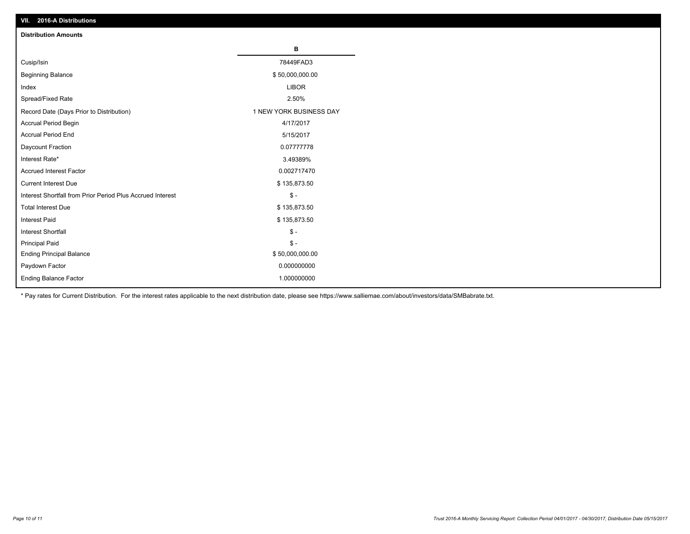| VII. 40 IV-A DISTINUTIONS                                  |                         |
|------------------------------------------------------------|-------------------------|
| <b>Distribution Amounts</b>                                |                         |
|                                                            | в                       |
| Cusip/Isin                                                 | 78449FAD3               |
| <b>Beginning Balance</b>                                   | \$50,000,000.00         |
| Index                                                      | <b>LIBOR</b>            |
| Spread/Fixed Rate                                          | 2.50%                   |
| Record Date (Days Prior to Distribution)                   | 1 NEW YORK BUSINESS DAY |
| Accrual Period Begin                                       | 4/17/2017               |
| <b>Accrual Period End</b>                                  | 5/15/2017               |
| Daycount Fraction                                          | 0.07777778              |
| Interest Rate*                                             | 3.49389%                |
| Accrued Interest Factor                                    | 0.002717470             |
| <b>Current Interest Due</b>                                | \$135,873.50            |
| Interest Shortfall from Prior Period Plus Accrued Interest | $\mathsf{\$}$ -         |
| <b>Total Interest Due</b>                                  | \$135,873.50            |
| Interest Paid                                              | \$135,873.50            |
| <b>Interest Shortfall</b>                                  | $\mathsf{\$}$ -         |
| <b>Principal Paid</b>                                      | $\frac{2}{3}$ -         |
| <b>Ending Principal Balance</b>                            | \$50,000,000.00         |
| Paydown Factor                                             | 0.000000000             |
| <b>Ending Balance Factor</b>                               | 1.000000000             |

\* Pay rates for Current Distribution. For the interest rates applicable to the next distribution date, please see https://www.salliemae.com/about/investors/data/SMBabrate.txt.

**VII. 2016-A Distributions**